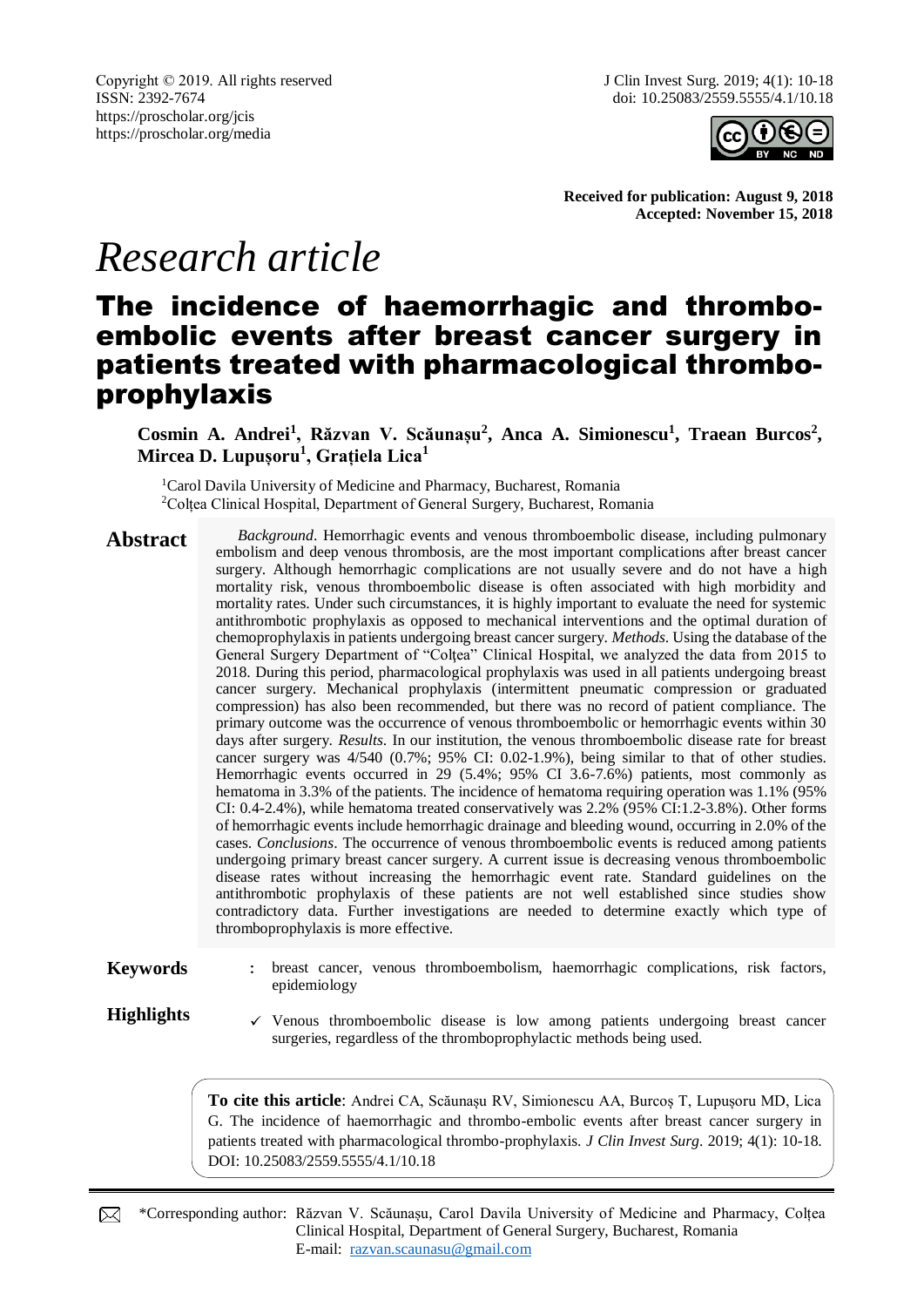

**Received for publication: August 9, 2018 Accepted: November 15, 2018**

# *Research article*

# The incidence of haemorrhagic and thromboembolic events after breast cancer surgery in patients treated with pharmacological thromboprophylaxis

Cosmin A. Andrei<sup>1</sup>, Răzvan V. Scăunașu<sup>2</sup>, Anca A. Simionescu<sup>1</sup>, Traean Burcos<sup>2</sup>, **Mircea D. Lupușoru<sup>1</sup> , Grațiela Lica<sup>1</sup>**

<sup>1</sup>Carol Davila University of Medicine and Pharmacy, Bucharest, Romania <sup>2</sup>Coltea Clinical Hospital, Department of General Surgery, Bucharest, Romania

Abstract *Background*. Hemorrhagic events and venous thromboembolic disease, including pulmonary embolism and deep venous thrombosis, are the most important complications after breast cancer surgery. Although hemorrhagic complications are not usually severe and do not have a high mortality risk, venous thromboembolic disease is often associated with high morbidity and mortality rates. Under such circumstances, it is highly important to evaluate the need for systemic antithrombotic prophylaxis as opposed to mechanical interventions and the optimal duration of chemoprophylaxis in patients undergoing breast cancer surgery. *Methods*. Using the database of the General Surgery Department of "Colţea" Clinical Hospital, we analyzed the data from 2015 to 2018. During this period, pharmacological prophylaxis was used in all patients undergoing breast cancer surgery. Mechanical prophylaxis (intermittent pneumatic compression or graduated compression) has also been recommended, but there was no record of patient compliance. The primary outcome was the occurrence of venous thromboembolic or hemorrhagic events within 30 days after surgery. *Results*. In our institution, the venous thromboembolic disease rate for breast cancer surgery was 4/540 (0.7%; 95% CI: 0.02-1.9%), being similar to that of other studies. Hemorrhagic events occurred in 29 (5.4%; 95% CI 3.6-7.6%) patients, most commonly as hematoma in 3.3% of the patients. The incidence of hematoma requiring operation was 1.1% (95% CI: 0.4-2.4%), while hematoma treated conservatively was 2.2% (95% CI:1.2-3.8%). Other forms of hemorrhagic events include hemorrhagic drainage and bleeding wound, occurring in 2.0% of the cases. *Conclusions*. The occurrence of venous thromboembolic events is reduced among patients undergoing primary breast cancer surgery. A current issue is decreasing venous thromboembolic disease rates without increasing the hemorrhagic event rate. Standard guidelines on the antithrombotic prophylaxis of these patients are not well established since studies show contradictory data. Further investigations are needed to determine exactly which type of thromboprophylaxis is more effective.

Keywords : breast cancer, venous thromboembolism, haemorrhagic complications, risk factors, epidemiology

**Highlights**  $\checkmark$  Venous thromboembolic disease is low among patients undergoing breast cancer surgeries, regardless of the thromboprophylactic methods being used.

> **To cite this article**: Andrei CA, Scăunașu RV, Simionescu AA, Burcoș T, Lupușoru MD, Lica G. The incidence of haemorrhagic and thrombo-embolic events after breast cancer surgery in patients treated with pharmacological thrombo-prophylaxis. *J Clin Invest Surg*. 2019; 4(1): 10-18. DOI: 10.25083/2559.5555/4.1/10.18

\*Corresponding author: Răzvan V. Scăunașu, Carol Davila University of Medicine and Pharmacy, Colțea ⊠ Clinical Hospital, Department of General Surgery, Bucharest, Romania E-mail: [razvan.scaunasu@gmail.com](mailto:razvan.scaunasu@gmail.com)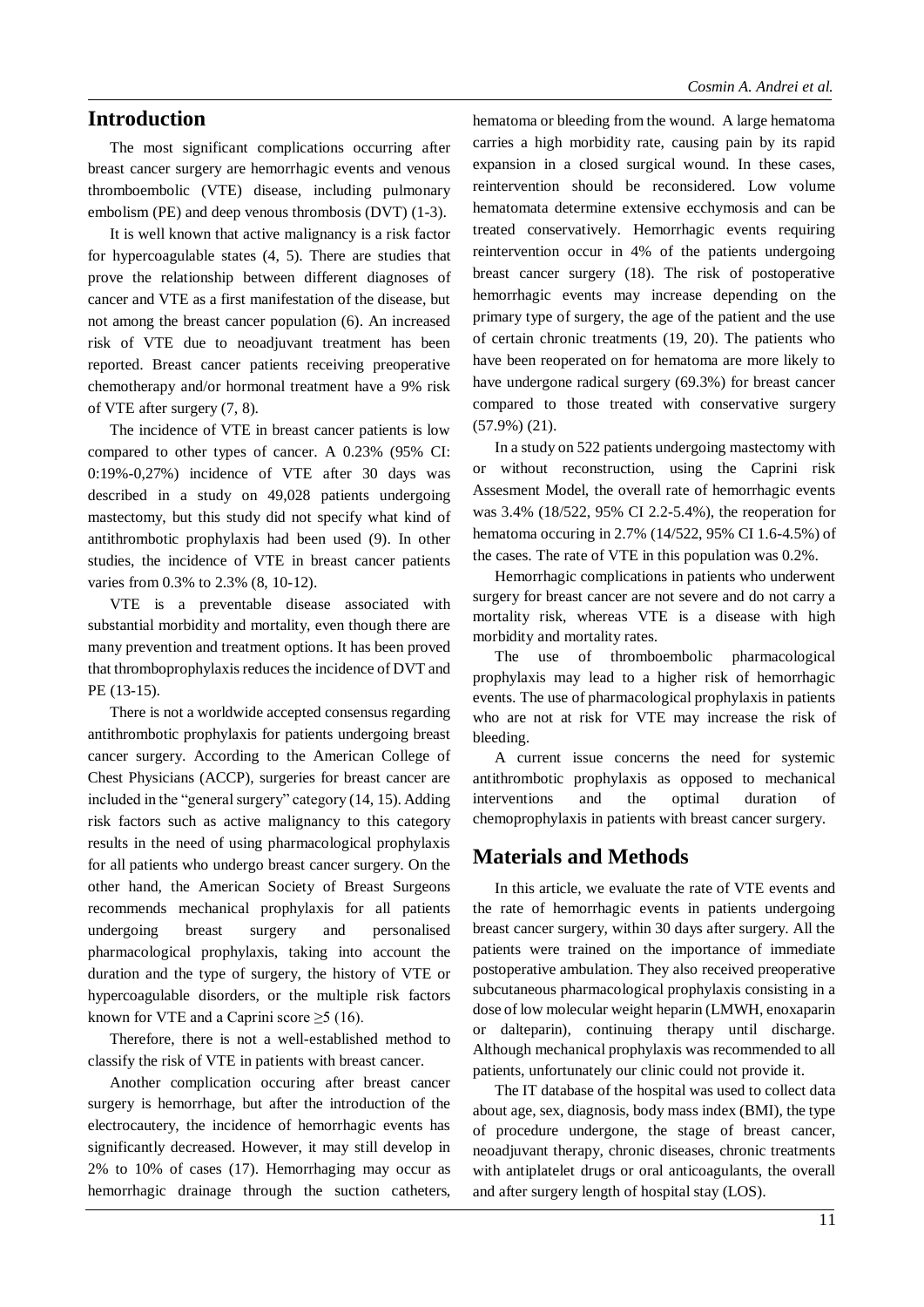## **Introduction**

The most significant complications occurring after breast cancer surgery are hemorrhagic events and venous thromboembolic (VTE) disease, including pulmonary embolism (PE) and deep venous thrombosis (DVT) (1-3).

It is well known that active malignancy is a risk factor for hypercoagulable states (4, 5). There are studies that prove the relationship between different diagnoses of cancer and VTE as a first manifestation of the disease, but not among the breast cancer population (6). An increased risk of VTE due to neoadjuvant treatment has been reported. Breast cancer patients receiving preoperative chemotherapy and/or hormonal treatment have a 9% risk of VTE after surgery (7, 8).

The incidence of VTE in breast cancer patients is low compared to other types of cancer. A 0.23% (95% CI: 0:19%-0,27%) incidence of VTE after 30 days was described in a study on 49,028 patients undergoing mastectomy, but this study did not specify what kind of antithrombotic prophylaxis had been used (9). In other studies, the incidence of VTE in breast cancer patients varies from 0.3% to 2.3% (8, 10-12).

VTE is a preventable disease associated with substantial morbidity and mortality, even though there are many prevention and treatment options. It has been proved that thromboprophylaxis reduces the incidence of DVT and PE (13-15).

There is not a worldwide accepted consensus regarding antithrombotic prophylaxis for patients undergoing breast cancer surgery. According to the American College of Chest Physicians (ACCP), surgeries for breast cancer are included in the "general surgery" category (14, 15). Adding risk factors such as active malignancy to this category results in the need of using pharmacological prophylaxis for all patients who undergo breast cancer surgery. On the other hand, the American Society of Breast Surgeons recommends mechanical prophylaxis for all patients undergoing breast surgery and personalised pharmacological prophylaxis, taking into account the duration and the type of surgery, the history of VTE or hypercoagulable disorders, or the multiple risk factors known for VTE and a Caprini score  $\geq$ 5 (16).

Therefore, there is not a well-established method to classify the risk of VTE in patients with breast cancer.

Another complication occuring after breast cancer surgery is hemorrhage, but after the introduction of the electrocautery, the incidence of hemorrhagic events has significantly decreased. However, it may still develop in 2% to 10% of cases (17). Hemorrhaging may occur as hemorrhagic drainage through the suction catheters, hematoma or bleeding from the wound. A large hematoma carries a high morbidity rate, causing pain by its rapid expansion in a closed surgical wound. In these cases, reintervention should be reconsidered. Low volume hematomata determine extensive ecchymosis and can be treated conservatively. Hemorrhagic events requiring reintervention occur in 4% of the patients undergoing breast cancer surgery (18). The risk of postoperative hemorrhagic events may increase depending on the primary type of surgery, the age of the patient and the use of certain chronic treatments (19, 20). The patients who have been reoperated on for hematoma are more likely to have undergone radical surgery (69.3%) for breast cancer compared to those treated with conservative surgery (57.9%) (21).

In a study on 522 patients undergoing mastectomy with or without reconstruction, using the Caprini risk Assesment Model, the overall rate of hemorrhagic events was 3.4% (18/522, 95% CI 2.2-5.4%), the reoperation for hematoma occuring in 2.7% (14/522, 95% CI 1.6-4.5%) of the cases. The rate of VTE in this population was 0.2%.

Hemorrhagic complications in patients who underwent surgery for breast cancer are not severe and do not carry a mortality risk, whereas VTE is a disease with high morbidity and mortality rates.

The use of thromboembolic pharmacological prophylaxis may lead to a higher risk of hemorrhagic events. The use of pharmacological prophylaxis in patients who are not at risk for VTE may increase the risk of bleeding.

A current issue concerns the need for systemic antithrombotic prophylaxis as opposed to mechanical interventions and the optimal duration of chemoprophylaxis in patients with breast cancer surgery.

# **Materials and Methods**

In this article, we evaluate the rate of VTE events and the rate of hemorrhagic events in patients undergoing breast cancer surgery, within 30 days after surgery. All the patients were trained on the importance of immediate postoperative ambulation. They also received preoperative subcutaneous pharmacological prophylaxis consisting in a dose of low molecular weight heparin (LMWH, enoxaparin or dalteparin), continuing therapy until discharge. Although mechanical prophylaxis was recommended to all patients, unfortunately our clinic could not provide it.

The IT database of the hospital was used to collect data about age, sex, diagnosis, body mass index (BMI), the type of procedure undergone, the stage of breast cancer, neoadjuvant therapy, chronic diseases, chronic treatments with antiplatelet drugs or oral anticoagulants, the overall and after surgery length of hospital stay (LOS).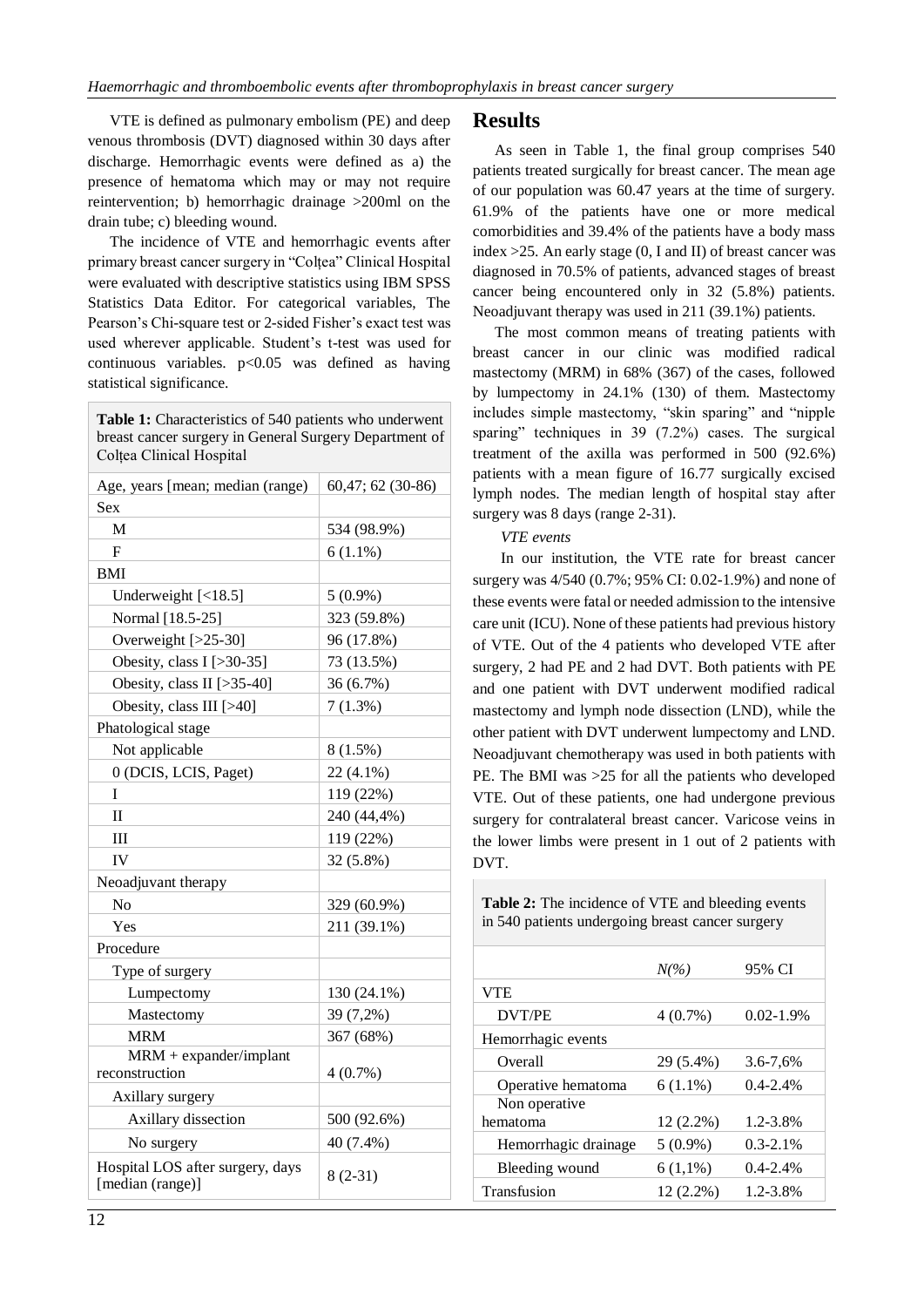VTE is defined as pulmonary embolism (PE) and deep venous thrombosis (DVT) diagnosed within 30 days after discharge. Hemorrhagic events were defined as a) the presence of hematoma which may or may not require reintervention; b) hemorrhagic drainage >200ml on the drain tube; c) bleeding wound.

The incidence of VTE and hemorrhagic events after primary breast cancer surgery in "Colțea" Clinical Hospital were evaluated with descriptive statistics using IBM SPSS Statistics Data Editor. For categorical variables, The Pearson's Chi-square test or 2-sided Fisher's exact test was used wherever applicable. Student's t-test was used for continuous variables.  $p<0.05$  was defined as having statistical significance.

**Table 1:** Characteristics of 540 patients who underwent breast cancer surgery in General Surgery Department of Colțea Clinical Hospital

| Age, years [mean; median (range)                     | 60,47; 62 (30-86) |  |  |  |
|------------------------------------------------------|-------------------|--|--|--|
| Sex                                                  |                   |  |  |  |
| M                                                    | 534 (98.9%)       |  |  |  |
| F                                                    | $6(1.1\%)$        |  |  |  |
| BMI                                                  |                   |  |  |  |
| Underweight $\left[ < 18.5 \right]$                  | $5(0.9\%)$        |  |  |  |
| Normal [18.5-25]                                     | 323 (59.8%)       |  |  |  |
| Overweight [>25-30]                                  | 96 (17.8%)        |  |  |  |
| Obesity, class $I$ [>30-35]                          | 73 (13.5%)        |  |  |  |
| Obesity, class II [>35-40]                           | 36 (6.7%)         |  |  |  |
| Obesity, class III [>40]                             | 7(1.3%)           |  |  |  |
| Phatological stage                                   |                   |  |  |  |
| Not applicable                                       | 8(1.5%)           |  |  |  |
| 0 (DCIS, LCIS, Paget)                                | 22 (4.1%)         |  |  |  |
| T                                                    | 119 (22%)         |  |  |  |
| $_{\rm II}$                                          | 240 (44,4%)       |  |  |  |
| III                                                  | 119 (22%)         |  |  |  |
| IV                                                   | 32 (5.8%)         |  |  |  |
| Neoadjuvant therapy                                  |                   |  |  |  |
| No                                                   | 329 (60.9%)       |  |  |  |
| Yes                                                  | 211 (39.1%)       |  |  |  |
| Procedure                                            |                   |  |  |  |
| Type of surgery                                      |                   |  |  |  |
| Lumpectomy                                           | 130 (24.1%)       |  |  |  |
| Mastectomy                                           | 39 (7,2%)         |  |  |  |
| <b>MRM</b>                                           | 367 (68%)         |  |  |  |
| $MRM + expander/implant$                             |                   |  |  |  |
| reconstruction                                       | 4(0.7%)           |  |  |  |
| Axillary surgery                                     |                   |  |  |  |
| Axillary dissection                                  | 500 (92.6%)       |  |  |  |
| No surgery                                           | 40 (7.4%)         |  |  |  |
| Hospital LOS after surgery, days<br>[median (range)] | $8(2-31)$         |  |  |  |

As seen in Table 1, the final group comprises 540 patients treated surgically for breast cancer. The mean age of our population was 60.47 years at the time of surgery. 61.9% of the patients have one or more medical comorbidities and 39.4% of the patients have a body mass index >25. An early stage (0, I and II) of breast cancer was diagnosed in 70.5% of patients, advanced stages of breast cancer being encountered only in 32 (5.8%) patients. Neoadjuvant therapy was used in 211 (39.1%) patients.

The most common means of treating patients with breast cancer in our clinic was modified radical mastectomy (MRM) in 68% (367) of the cases, followed by lumpectomy in 24.1% (130) of them. Mastectomy includes simple mastectomy, "skin sparing" and "nipple sparing" techniques in 39 (7.2%) cases. The surgical treatment of the axilla was performed in 500 (92.6%) patients with a mean figure of 16.77 surgically excised lymph nodes. The median length of hospital stay after surgery was 8 days (range 2-31).

### *VTE events*

In our institution, the VTE rate for breast cancer surgery was 4/540 (0.7%; 95% CI: 0.02-1.9%) and none of these events were fatal or needed admission to the intensive care unit (ICU). None of these patients had previous history of VTE. Out of the 4 patients who developed VTE after surgery, 2 had PE and 2 had DVT. Both patients with PE and one patient with DVT underwent modified radical mastectomy and lymph node dissection (LND), while the other patient with DVT underwent lumpectomy and LND. Neoadjuvant chemotherapy was used in both patients with PE. The BMI was >25 for all the patients who developed VTE. Out of these patients, one had undergone previous surgery for contralateral breast cancer. Varicose veins in the lower limbs were present in 1 out of 2 patients with DVT.

**Table 2:** The incidence of VTE and bleeding events in 540 patients undergoing breast cancer surgery

|                      | $N\llap/$   | 95% CI        |
|----------------------|-------------|---------------|
| <b>VTE</b>           |             |               |
| DVT/PE               | $4(0.7\%)$  | $0.02 - 1.9%$ |
| Hemorrhagic events   |             |               |
| Overall              | 29 (5.4%)   | $3.6 - 7.6%$  |
| Operative hematoma   | $6(1.1\%)$  | $0.4 - 2.4\%$ |
| Non operative        |             |               |
| hematoma             | $12(2.2\%)$ | 1.2-3.8%      |
| Hemorrhagic drainage | $5(0.9\%)$  | $0.3 - 2.1\%$ |
| Bleeding wound       | $6(1,1\%)$  | $0.4 - 2.4\%$ |
| Transfusion          | $12(2.2\%)$ | 1.2-3.8%      |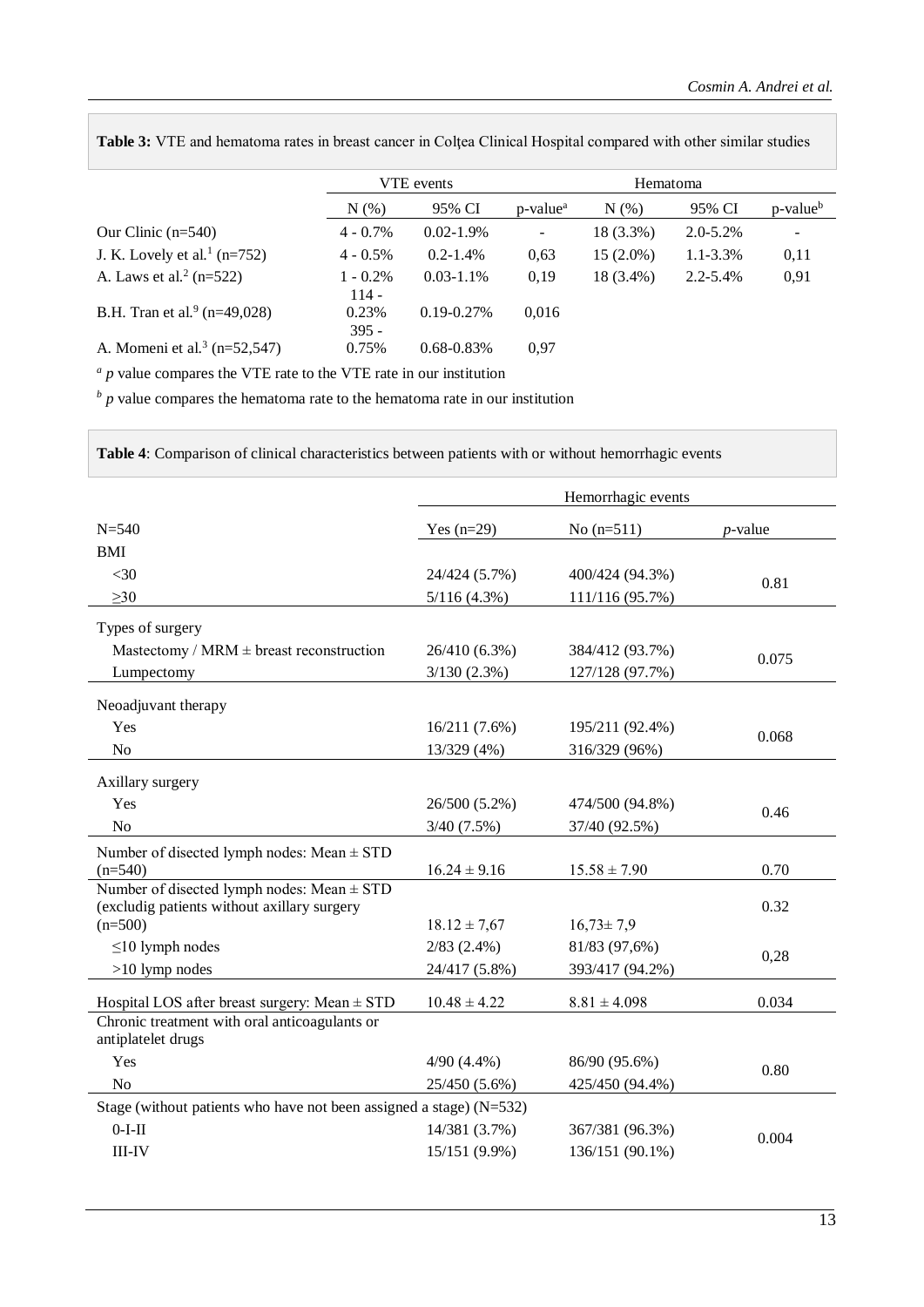|                                          | VTE events             |                 |                      | Hematoma    |               |                      |
|------------------------------------------|------------------------|-----------------|----------------------|-------------|---------------|----------------------|
|                                          | $N(\%)$                | 95% CI          | p-value <sup>a</sup> | N(% )       | 95% CI        | p-value <sup>b</sup> |
| Our Clinic $(n=540)$                     | $4 - 0.7\%$            | $0.02 - 1.9\%$  |                      | $18(3.3\%)$ | $2.0 - 5.2\%$ |                      |
| J. K. Lovely et al. <sup>1</sup> (n=752) | $4 - 0.5\%$            | $0.2 - 1.4\%$   | 0.63                 | $15(2.0\%)$ | $1.1 - 3.3\%$ | 0,11                 |
| A. Laws et al. <sup>2</sup> ( $n=522$ )  | $1 - 0.2\%$<br>$114 -$ | $0.03 - 1.1\%$  | 0.19                 | 18 (3.4%)   | $2.2 - 5.4\%$ | 0,91                 |
| B.H. Tran et al. <sup>9</sup> (n=49,028) | 0.23%<br>$395 -$       | $0.19 - 0.27\%$ | 0.016                |             |               |                      |
| A. Momeni et al. <sup>3</sup> (n=52,547) | 0.75%                  | $0.68 - 0.83\%$ | 0.97                 |             |               |                      |

**Table 3:** VTE and hematoma rates in breast cancer in Colţea Clinical Hospital compared with other similar studies

*<sup>a</sup> p* value compares the VTE rate to the VTE rate in our institution

*<sup>b</sup> p* value compares the hematoma rate to the hematoma rate in our institution

**Table 4**: Comparison of clinical characteristics between patients with or without hemorrhagic events

| Hemorrhagic events                                                                      |                                                    |                                                      |  |  |  |
|-----------------------------------------------------------------------------------------|----------------------------------------------------|------------------------------------------------------|--|--|--|
| Yes $(n=29)$                                                                            | No $(n=511)$                                       | $p$ -value                                           |  |  |  |
|                                                                                         |                                                    |                                                      |  |  |  |
| 24/424 (5.7%)                                                                           | 400/424 (94.3%)                                    |                                                      |  |  |  |
| 5/116(4.3%)                                                                             | 111/116 (95.7%)                                    | 0.81                                                 |  |  |  |
|                                                                                         |                                                    |                                                      |  |  |  |
| 26/410 (6.3%)                                                                           | 384/412 (93.7%)                                    | 0.075                                                |  |  |  |
| 3/130(2.3%)                                                                             | 127/128 (97.7%)                                    |                                                      |  |  |  |
|                                                                                         |                                                    |                                                      |  |  |  |
| 16/211(7.6%)                                                                            | 195/211 (92.4%)                                    |                                                      |  |  |  |
| 13/329 (4%)                                                                             | 316/329 (96%)                                      | 0.068                                                |  |  |  |
|                                                                                         |                                                    |                                                      |  |  |  |
| 26/500 (5.2%)                                                                           | 474/500 (94.8%)                                    |                                                      |  |  |  |
| 3/40(7.5%)                                                                              | 37/40 (92.5%)                                      | 0.46                                                 |  |  |  |
|                                                                                         |                                                    | 0.70                                                 |  |  |  |
|                                                                                         |                                                    |                                                      |  |  |  |
|                                                                                         |                                                    | 0.32                                                 |  |  |  |
| $18.12 \pm 7.67$                                                                        | $16,73 \pm 7,9$                                    |                                                      |  |  |  |
| $2/83$ $(2.4\%)$                                                                        | 81/83 (97,6%)                                      | 0,28                                                 |  |  |  |
| 24/417 (5.8%)                                                                           | 393/417 (94.2%)                                    |                                                      |  |  |  |
| $10.48 \pm 4.22$                                                                        | $8.81 \pm 4.098$                                   | 0.034                                                |  |  |  |
|                                                                                         |                                                    |                                                      |  |  |  |
|                                                                                         |                                                    | 0.80                                                 |  |  |  |
|                                                                                         |                                                    |                                                      |  |  |  |
| N <sub>o</sub><br>Stage (without patients who have not been assigned a stage) $(N=532)$ |                                                    |                                                      |  |  |  |
| 14/381 (3.7%)                                                                           | 367/381 (96.3%)                                    | 0.004                                                |  |  |  |
| 15/151 (9.9%)                                                                           | 136/151 (90.1%)                                    |                                                      |  |  |  |
|                                                                                         | $16.24 \pm 9.16$<br>$4/90(4.4\%)$<br>25/450 (5.6%) | $15.58 \pm 7.90$<br>86/90 (95.6%)<br>425/450 (94.4%) |  |  |  |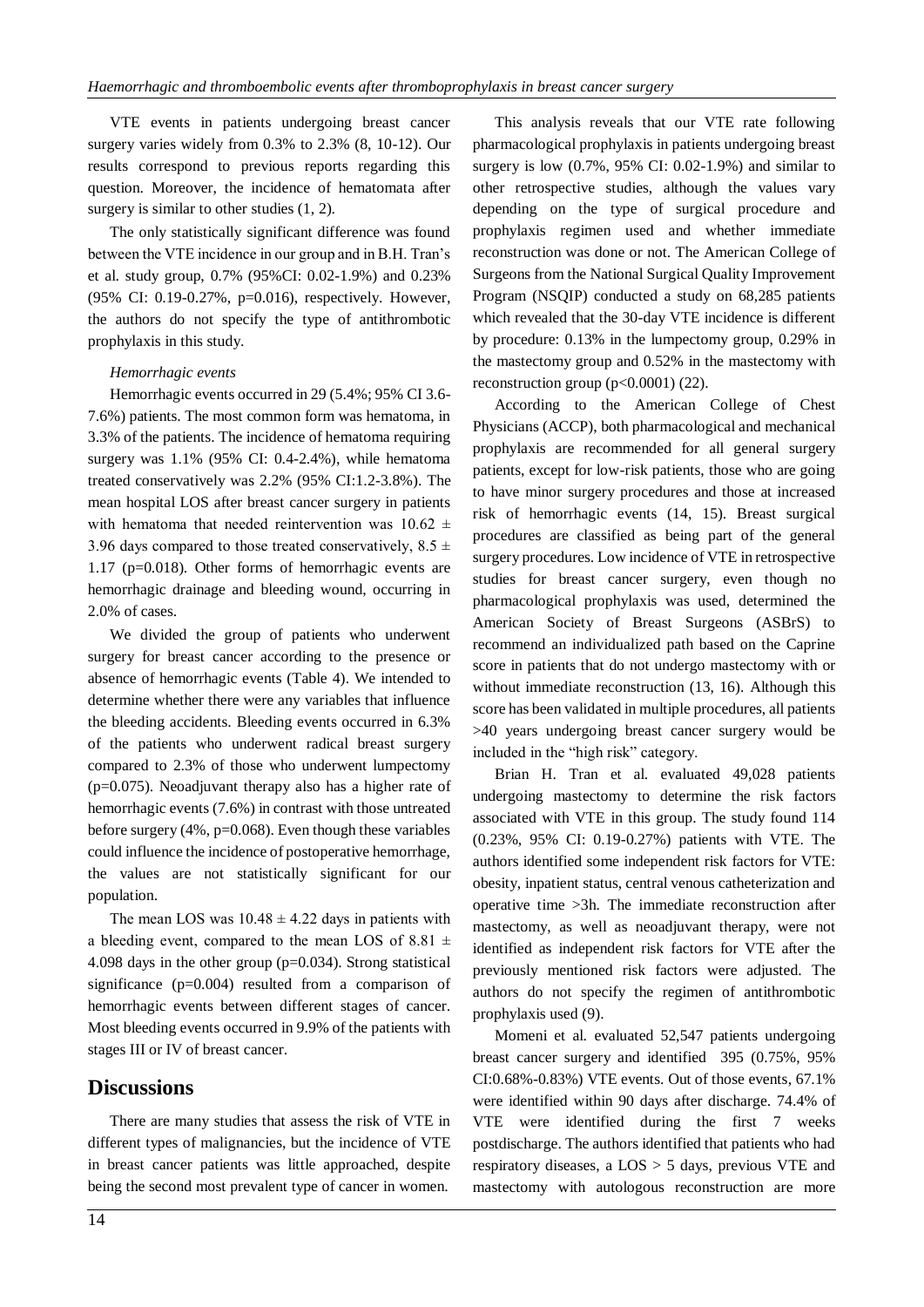VTE events in patients undergoing breast cancer surgery varies widely from 0.3% to 2.3% (8, 10-12). Our results correspond to previous reports regarding this question. Moreover, the incidence of hematomata after surgery is similar to other studies  $(1, 2)$ .

The only statistically significant difference was found between the VTE incidence in our group and in B.H. Tran's et al. study group, 0.7% (95%CI: 0.02-1.9%) and 0.23% (95% CI: 0.19-0.27%, p=0.016), respectively. However, the authors do not specify the type of antithrombotic prophylaxis in this study.

### *Hemorrhagic events*

Hemorrhagic events occurred in 29 (5.4%; 95% CI 3.6- 7.6%) patients. The most common form was hematoma, in 3.3% of the patients. The incidence of hematoma requiring surgery was 1.1% (95% CI: 0.4-2.4%), while hematoma treated conservatively was 2.2% (95% CI:1.2-3.8%). The mean hospital LOS after breast cancer surgery in patients with hematoma that needed reintervention was  $10.62 \pm$ 3.96 days compared to those treated conservatively,  $8.5 \pm$ 1.17 (p=0.018). Other forms of hemorrhagic events are hemorrhagic drainage and bleeding wound, occurring in 2.0% of cases.

We divided the group of patients who underwent surgery for breast cancer according to the presence or absence of hemorrhagic events (Table 4). We intended to determine whether there were any variables that influence the bleeding accidents. Bleeding events occurred in 6.3% of the patients who underwent radical breast surgery compared to 2.3% of those who underwent lumpectomy (p=0.075). Neoadjuvant therapy also has a higher rate of hemorrhagic events (7.6%) in contrast with those untreated before surgery (4%, p=0.068). Even though these variables could influence the incidence of postoperative hemorrhage, the values are not statistically significant for our population.

The mean LOS was  $10.48 \pm 4.22$  days in patients with a bleeding event, compared to the mean LOS of 8.81  $\pm$ 4.098 days in the other group (p=0.034). Strong statistical significance (p=0.004) resulted from a comparison of hemorrhagic events between different stages of cancer. Most bleeding events occurred in 9.9% of the patients with stages III or IV of breast cancer.

# **Discussions**

There are many studies that assess the risk of VTE in different types of malignancies, but the incidence of VTE in breast cancer patients was little approached, despite being the second most prevalent type of cancer in women.

This analysis reveals that our VTE rate following pharmacological prophylaxis in patients undergoing breast surgery is low (0.7%, 95% CI: 0.02-1.9%) and similar to other retrospective studies, although the values vary depending on the type of surgical procedure and prophylaxis regimen used and whether immediate reconstruction was done or not. The American College of Surgeons from the National Surgical Quality Improvement Program (NSQIP) conducted a study on 68,285 patients which revealed that the 30-day VTE incidence is different by procedure: 0.13% in the lumpectomy group, 0.29% in the mastectomy group and 0.52% in the mastectomy with reconstruction group  $(p<0.0001)$  (22).

According to the American College of Chest Physicians (ACCP), both pharmacological and mechanical prophylaxis are recommended for all general surgery patients, except for low-risk patients, those who are going to have minor surgery procedures and those at increased risk of hemorrhagic events (14, 15). Breast surgical procedures are classified as being part of the general surgery procedures. Low incidence of VTE in retrospective studies for breast cancer surgery, even though no pharmacological prophylaxis was used, determined the American Society of Breast Surgeons (ASBrS) to recommend an individualized path based on the Caprine score in patients that do not undergo mastectomy with or without immediate reconstruction (13, 16). Although this score has been validated in multiple procedures, all patients >40 years undergoing breast cancer surgery would be included in the "high risk" category.

Brian H. Tran et al. evaluated 49,028 patients undergoing mastectomy to determine the risk factors associated with VTE in this group. The study found 114 (0.23%, 95% CI: 0.19-0.27%) patients with VTE. The authors identified some independent risk factors for VTE: obesity, inpatient status, central venous catheterization and operative time >3h. The immediate reconstruction after mastectomy, as well as neoadjuvant therapy, were not identified as independent risk factors for VTE after the previously mentioned risk factors were adjusted. The authors do not specify the regimen of antithrombotic prophylaxis used (9).

Momeni et al. evaluated 52,547 patients undergoing breast cancer surgery and identified 395 (0.75%, 95% CI:0.68%-0.83%) VTE events. Out of those events, 67.1% were identified within 90 days after discharge. 74.4% of VTE were identified during the first 7 weeks postdischarge. The authors identified that patients who had respiratory diseases, a LOS > 5 days, previous VTE and mastectomy with autologous reconstruction are more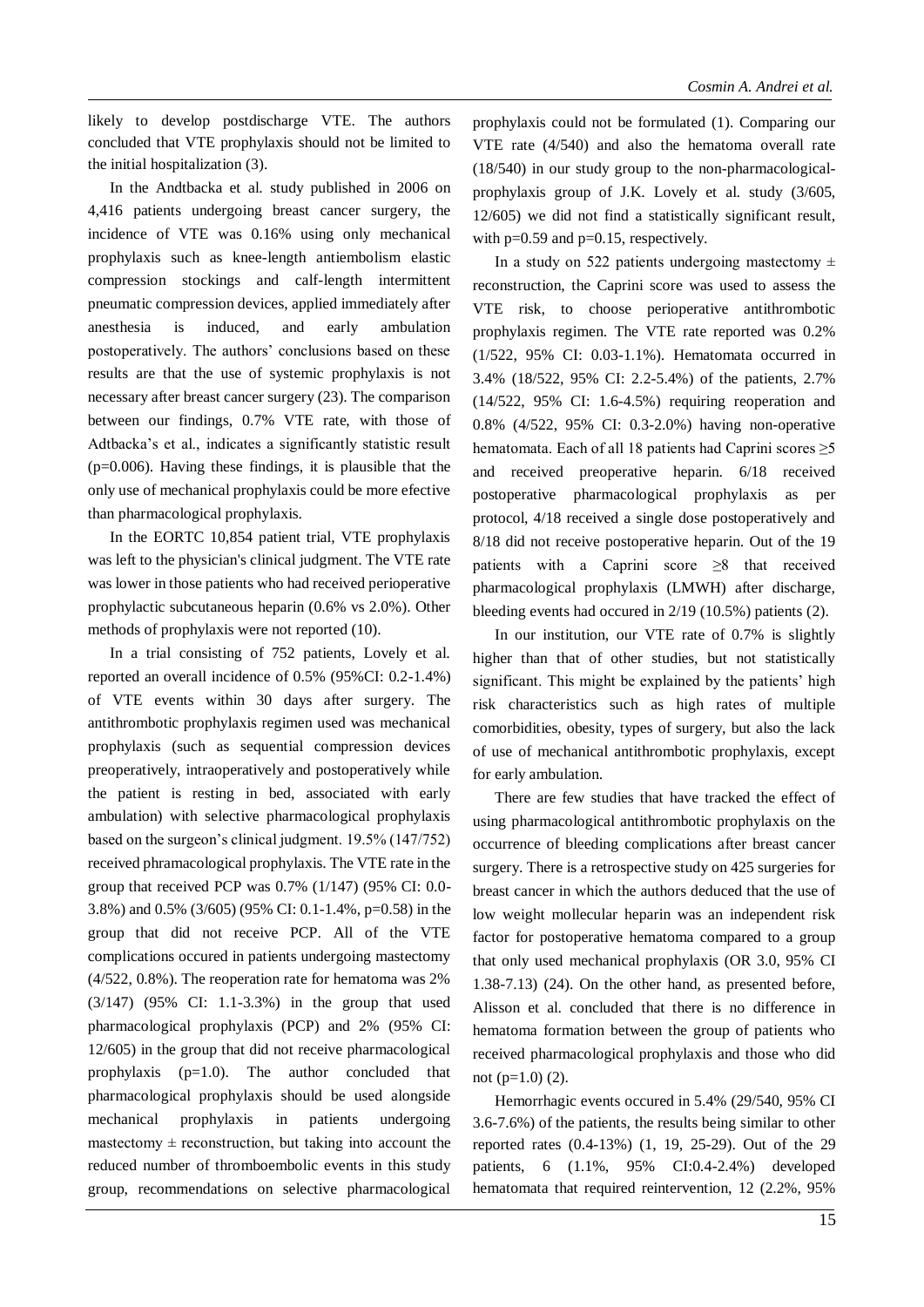likely to develop postdischarge VTE. The authors concluded that VTE prophylaxis should not be limited to the initial hospitalization (3).

In the Andtbacka et al. study published in 2006 on 4,416 patients undergoing breast cancer surgery, the incidence of VTE was 0.16% using only mechanical prophylaxis such as knee-length antiembolism elastic compression stockings and calf-length intermittent pneumatic compression devices, applied immediately after anesthesia is induced, and early ambulation postoperatively. The authors' conclusions based on these results are that the use of systemic prophylaxis is not necessary after breast cancer surgery (23). The comparison between our findings, 0.7% VTE rate, with those of Adtbacka's et al., indicates a significantly statistic result (p=0.006). Having these findings, it is plausible that the only use of mechanical prophylaxis could be more efective than pharmacological prophylaxis.

In the EORTC 10,854 patient trial, VTE prophylaxis was left to the physician's clinical judgment. The VTE rate was lower in those patients who had received perioperative prophylactic subcutaneous heparin (0.6% vs 2.0%). Other methods of prophylaxis were not reported (10).

In a trial consisting of 752 patients, Lovely et al. reported an overall incidence of 0.5% (95%CI: 0.2-1.4%) of VTE events within 30 days after surgery. The antithrombotic prophylaxis regimen used was mechanical prophylaxis (such as sequential compression devices preoperatively, intraoperatively and postoperatively while the patient is resting in bed, associated with early ambulation) with selective pharmacological prophylaxis based on the surgeon's clinical judgment. 19.5% (147/752) received phramacological prophylaxis. The VTE rate in the group that received PCP was 0.7% (1/147) (95% CI: 0.0- 3.8%) and 0.5% (3/605) (95% CI: 0.1-1.4%, p=0.58) in the group that did not receive PCP. All of the VTE complications occured in patients undergoing mastectomy (4/522, 0.8%). The reoperation rate for hematoma was 2% (3/147) (95% CI: 1.1-3.3%) in the group that used pharmacological prophylaxis (PCP) and 2% (95% CI: 12/605) in the group that did not receive pharmacological prophylaxis (p=1.0). The author concluded that pharmacological prophylaxis should be used alongside mechanical prophylaxis in patients undergoing mastectomy  $\pm$  reconstruction, but taking into account the reduced number of thromboembolic events in this study group, recommendations on selective pharmacological

prophylaxis could not be formulated (1). Comparing our VTE rate (4/540) and also the hematoma overall rate (18/540) in our study group to the non-pharmacologicalprophylaxis group of J.K. Lovely et al. study (3/605, 12/605) we did not find a statistically significant result, with  $p=0.59$  and  $p=0.15$ , respectively.

In a study on 522 patients undergoing mastectomy  $\pm$ reconstruction, the Caprini score was used to assess the VTE risk, to choose perioperative antithrombotic prophylaxis regimen. The VTE rate reported was 0.2% (1/522, 95% CI: 0.03-1.1%). Hematomata occurred in 3.4% (18/522, 95% CI: 2.2-5.4%) of the patients, 2.7% (14/522, 95% CI: 1.6-4.5%) requiring reoperation and 0.8% (4/522, 95% CI: 0.3-2.0%) having non-operative hematomata. Each of all 18 patients had Caprini scores ≥5 and received preoperative heparin. 6/18 received postoperative pharmacological prophylaxis as per protocol, 4/18 received a single dose postoperatively and 8/18 did not receive postoperative heparin. Out of the 19 patients with a Caprini score ≥8 that received pharmacological prophylaxis (LMWH) after discharge, bleeding events had occured in 2/19 (10.5%) patients (2).

In our institution, our VTE rate of 0.7% is slightly higher than that of other studies, but not statistically significant. This might be explained by the patients' high risk characteristics such as high rates of multiple comorbidities, obesity, types of surgery, but also the lack of use of mechanical antithrombotic prophylaxis, except for early ambulation.

There are few studies that have tracked the effect of using pharmacological antithrombotic prophylaxis on the occurrence of bleeding complications after breast cancer surgery. There is a retrospective study on 425 surgeries for breast cancer in which the authors deduced that the use of low weight mollecular heparin was an independent risk factor for postoperative hematoma compared to a group that only used mechanical prophylaxis (OR 3.0, 95% CI 1.38-7.13) (24). On the other hand, as presented before, Alisson et al. concluded that there is no difference in hematoma formation between the group of patients who received pharmacological prophylaxis and those who did not (p=1.0) (2).

Hemorrhagic events occured in 5.4% (29/540, 95% CI 3.6-7.6%) of the patients, the results being similar to other reported rates (0.4-13%) (1, 19, 25-29). Out of the 29 patients, 6 (1.1%, 95% CI:0.4-2.4%) developed hematomata that required reintervention, 12 (2.2%, 95%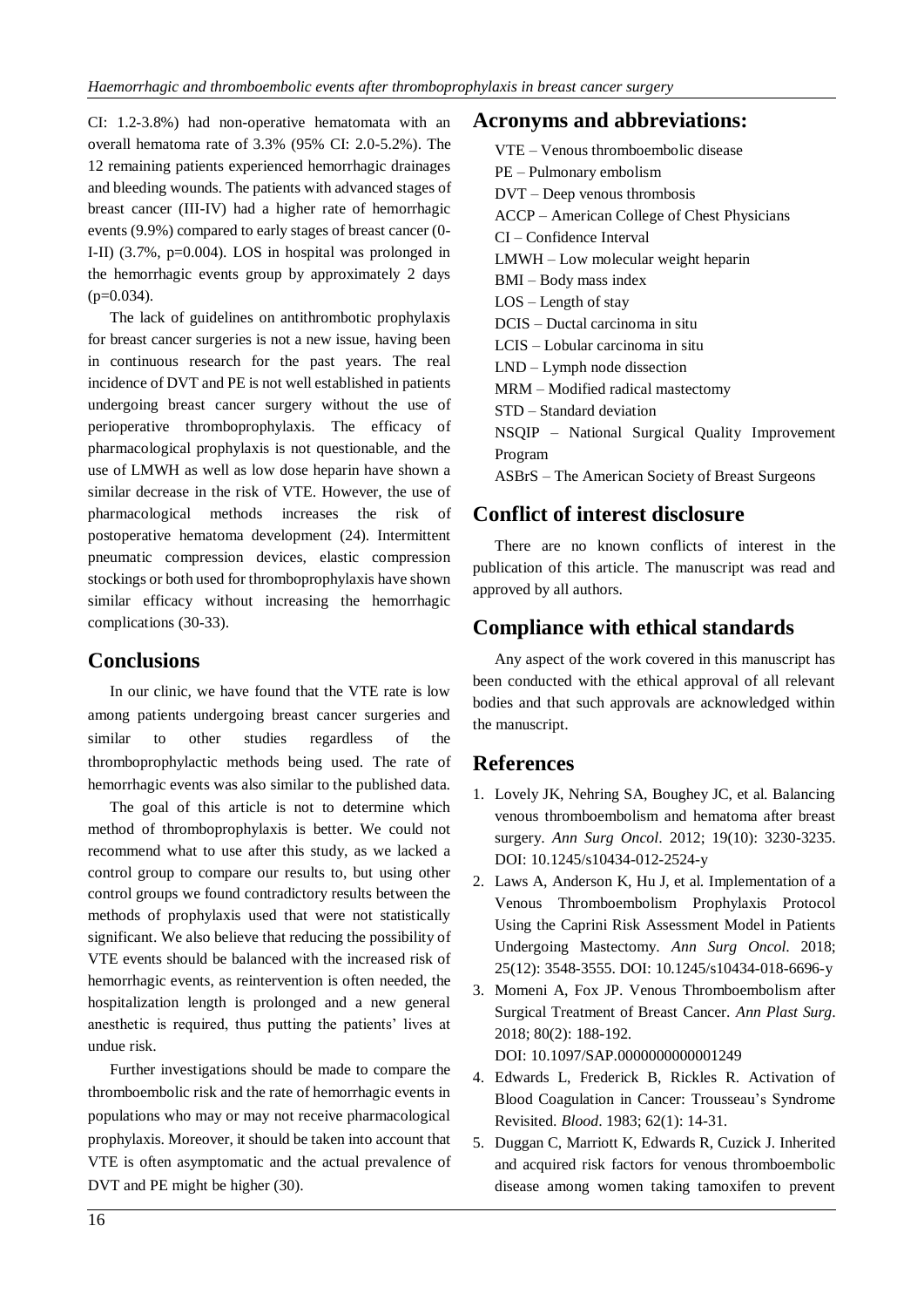CI: 1.2-3.8%) had non-operative hematomata with an overall hematoma rate of 3.3% (95% CI: 2.0-5.2%). The 12 remaining patients experienced hemorrhagic drainages and bleeding wounds. The patients with advanced stages of breast cancer (III-IV) had a higher rate of hemorrhagic events (9.9%) compared to early stages of breast cancer (0- I-II) (3.7%, p=0.004). LOS in hospital was prolonged in the hemorrhagic events group by approximately 2 days  $(p=0.034)$ .

The lack of guidelines on antithrombotic prophylaxis for breast cancer surgeries is not a new issue, having been in continuous research for the past years. The real incidence of DVT and PE is not well established in patients undergoing breast cancer surgery without the use of perioperative thromboprophylaxis. The efficacy of pharmacological prophylaxis is not questionable, and the use of LMWH as well as low dose heparin have shown a similar decrease in the risk of VTE. However, the use of pharmacological methods increases the risk of postoperative hematoma development (24). Intermittent pneumatic compression devices, elastic compression stockings or both used for thromboprophylaxis have shown similar efficacy without increasing the hemorrhagic complications (30-33).

# **Conclusions**

In our clinic, we have found that the VTE rate is low among patients undergoing breast cancer surgeries and similar to other studies regardless of the thromboprophylactic methods being used. The rate of hemorrhagic events was also similar to the published data.

The goal of this article is not to determine which method of thromboprophylaxis is better. We could not recommend what to use after this study, as we lacked a control group to compare our results to, but using other control groups we found contradictory results between the methods of prophylaxis used that were not statistically significant. We also believe that reducing the possibility of VTE events should be balanced with the increased risk of hemorrhagic events, as reintervention is often needed, the hospitalization length is prolonged and a new general anesthetic is required, thus putting the patients' lives at undue risk.

Further investigations should be made to compare the thromboembolic risk and the rate of hemorrhagic events in populations who may or may not receive pharmacological prophylaxis. Moreover, it should be taken into account that VTE is often asymptomatic and the actual prevalence of DVT and PE might be higher (30).

# **Acronyms and abbreviations:**

VTE – Venous thromboembolic disease PE – Pulmonary embolism DVT – Deep venous thrombosis ACCP – American College of Chest Physicians CI – Confidence Interval LMWH – Low molecular weight heparin BMI – Body mass index LOS – Length of stay DCIS – Ductal carcinoma in situ LCIS – Lobular carcinoma in situ LND – Lymph node dissection MRM – Modified radical mastectomy STD – Standard deviation NSQIP – National Surgical Quality Improvement Program ASBrS – The American Society of Breast Surgeons

# **Conflict of interest disclosure**

There are no known conflicts of interest in the publication of this article. The manuscript was read and approved by all authors.

# **Compliance with ethical standards**

Any aspect of the work covered in this manuscript has been conducted with the ethical approval of all relevant bodies and that such approvals are acknowledged within the manuscript.

# **References**

- 1. Lovely JK, Nehring SA, Boughey JC, et al. Balancing venous thromboembolism and hematoma after breast surgery. *Ann Surg Oncol*. 2012; 19(10): 3230-3235. DOI: 10.1245/s10434-012-2524-y
- 2. Laws A, Anderson K, Hu J, et al. Implementation of a Venous Thromboembolism Prophylaxis Protocol Using the Caprini Risk Assessment Model in Patients Undergoing Mastectomy. *Ann Surg Oncol*. 2018; 25(12): 3548-3555. DOI: 10.1245/s10434-018-6696-y
- 3. Momeni A, Fox JP. Venous Thromboembolism after Surgical Treatment of Breast Cancer. *Ann Plast Surg*. 2018; 80(2): 188-192.

DOI: 10.1097/SAP.0000000000001249

- 4. Edwards L, Frederick B, Rickles R. Activation of Blood Coagulation in Cancer: Trousseau's Syndrome Revisited. *Blood*. 1983; 62(1): 14-31.
- 5. Duggan C, Marriott K, Edwards R, Cuzick J. Inherited and acquired risk factors for venous thromboembolic disease among women taking tamoxifen to prevent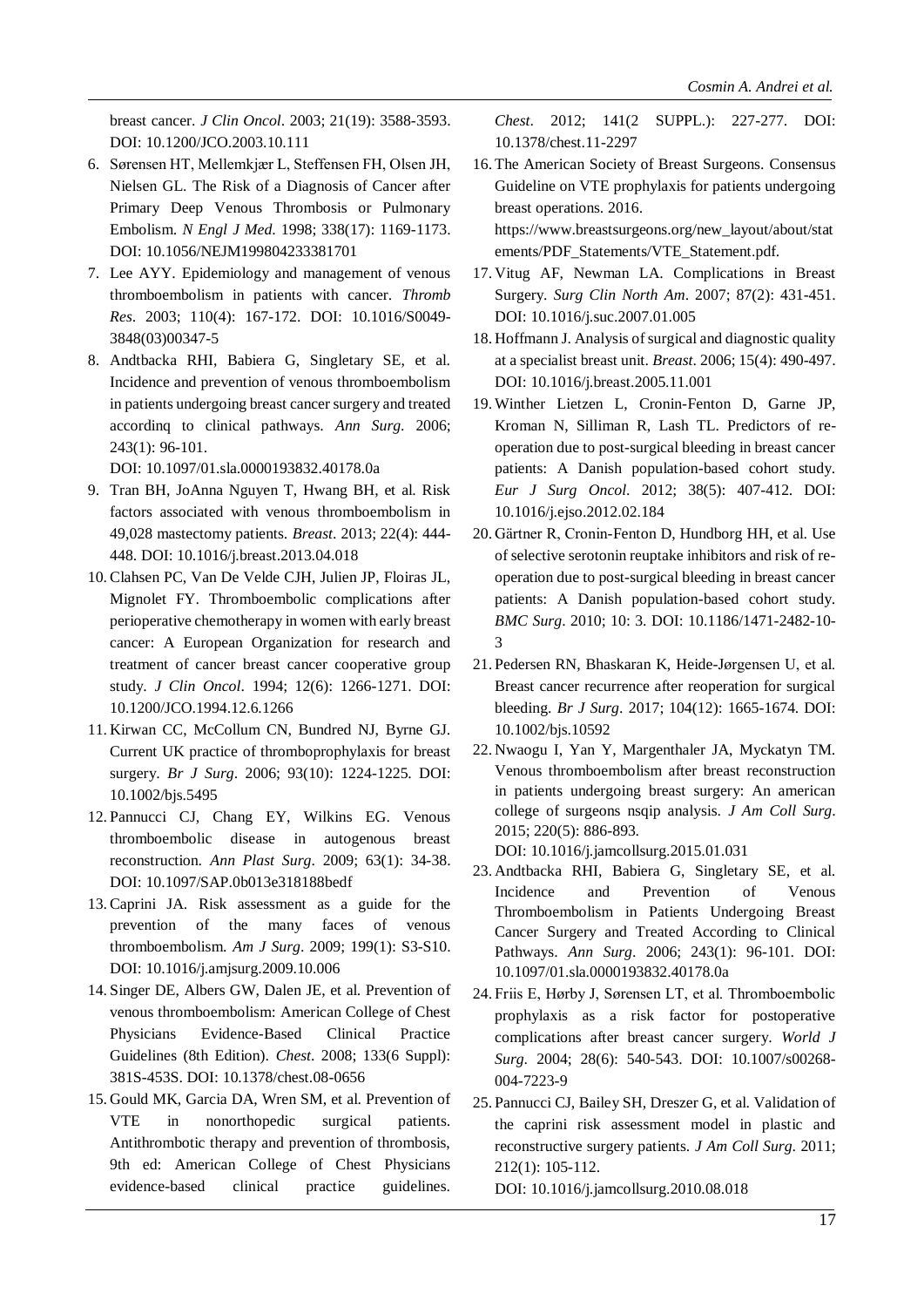breast cancer. *J Clin Oncol*. 2003; 21(19): 3588-3593. DOI: 10.1200/JCO.2003.10.111

- 6. Sørensen HT, Mellemkjær L, Steffensen FH, Olsen JH, Nielsen GL. The Risk of a Diagnosis of Cancer after Primary Deep Venous Thrombosis or Pulmonary Embolism. *N Engl J Med*. 1998; 338(17): 1169-1173. DOI: 10.1056/NEJM199804233381701
- 7. Lee AYY. Epidemiology and management of venous thromboembolism in patients with cancer. *Thromb Res*. 2003; 110(4): 167-172. DOI: 10.1016/S0049- 3848(03)00347-5
- 8. Andtbacka RHI, Babiera G, Singletary SE, et al. Incidence and prevention of venous thromboembolism in patients undergoing breast cancer surgery and treated accordinq to clinical pathways. *Ann Surg*. 2006; 243(1): 96-101.

DOI: 10.1097/01.sla.0000193832.40178.0a

- 9. Tran BH, JoAnna Nguyen T, Hwang BH, et al. Risk factors associated with venous thromboembolism in 49,028 mastectomy patients. *Breast*. 2013; 22(4): 444- 448. DOI: 10.1016/j.breast.2013.04.018
- 10. Clahsen PC, Van De Velde CJH, Julien JP, Floiras JL, Mignolet FY. Thromboembolic complications after perioperative chemotherapy in women with early breast cancer: A European Organization for research and treatment of cancer breast cancer cooperative group study. *J Clin Oncol*. 1994; 12(6): 1266-1271. DOI: 10.1200/JCO.1994.12.6.1266
- 11. Kirwan CC, McCollum CN, Bundred NJ, Byrne GJ. Current UK practice of thromboprophylaxis for breast surgery. *Br J Surg*. 2006; 93(10): 1224-1225. DOI: 10.1002/bjs.5495
- 12.Pannucci CJ, Chang EY, Wilkins EG. Venous thromboembolic disease in autogenous breast reconstruction. *Ann Plast Surg*. 2009; 63(1): 34-38. DOI: 10.1097/SAP.0b013e318188bedf
- 13. Caprini JA. Risk assessment as a guide for the prevention of the many faces of venous thromboembolism. *Am J Surg*. 2009; 199(1): S3-S10. DOI: 10.1016/j.amjsurg.2009.10.006
- 14.Singer DE, Albers GW, Dalen JE, et al. Prevention of venous thromboembolism: American College of Chest Physicians Evidence-Based Clinical Practice Guidelines (8th Edition). *Chest*. 2008; 133(6 Suppl): 381S-453S. DOI: 10.1378/chest.08-0656
- 15. Gould MK, Garcia DA, Wren SM, et al. Prevention of VTE in nonorthopedic surgical patients. Antithrombotic therapy and prevention of thrombosis, 9th ed: American College of Chest Physicians evidence-based clinical practice guidelines.

*Chest*. 2012; 141(2 SUPPL.): 227-277. DOI: 10.1378/chest.11-2297

16. The American Society of Breast Surgeons. Consensus Guideline on VTE prophylaxis for patients undergoing breast operations. 2016.

https://www.breastsurgeons.org/new\_layout/about/stat ements/PDF\_Statements/VTE\_Statement.pdf.

- 17. Vitug AF, Newman LA. Complications in Breast Surgery. *Surg Clin North Am*. 2007; 87(2): 431-451. DOI: 10.1016/j.suc.2007.01.005
- 18. Hoffmann J. Analysis of surgical and diagnostic quality at a specialist breast unit. *Breast*. 2006; 15(4): 490-497. DOI: 10.1016/j.breast.2005.11.001
- 19. Winther Lietzen L, Cronin-Fenton D, Garne JP, Kroman N, Silliman R, Lash TL. Predictors of reoperation due to post-surgical bleeding in breast cancer patients: A Danish population-based cohort study. *Eur J Surg Oncol*. 2012; 38(5): 407-412. DOI: 10.1016/j.ejso.2012.02.184
- 20. Gärtner R, Cronin-Fenton D, Hundborg HH, et al. Use of selective serotonin reuptake inhibitors and risk of reoperation due to post-surgical bleeding in breast cancer patients: A Danish population-based cohort study. *BMC Surg*. 2010; 10: 3. DOI: 10.1186/1471-2482-10- 3
- 21.Pedersen RN, Bhaskaran K, Heide-Jørgensen U, et al. Breast cancer recurrence after reoperation for surgical bleeding. *Br J Surg*. 2017; 104(12): 1665-1674. DOI: 10.1002/bjs.10592
- 22. Nwaogu I, Yan Y, Margenthaler JA, Myckatyn TM. Venous thromboembolism after breast reconstruction in patients undergoing breast surgery: An american college of surgeons nsqip analysis. *J Am Coll Surg*. 2015; 220(5): 886-893.

DOI: 10.1016/j.jamcollsurg.2015.01.031

- 23. Andtbacka RHI, Babiera G, Singletary SE, et al. Incidence and Prevention of Venous Thromboembolism in Patients Undergoing Breast Cancer Surgery and Treated According to Clinical Pathways. *Ann Surg*. 2006; 243(1): 96-101. DOI: 10.1097/01.sla.0000193832.40178.0a
- 24.Friis E, Hørby J, Sørensen LT, et al. Thromboembolic prophylaxis as a risk factor for postoperative complications after breast cancer surgery. *World J Surg*. 2004; 28(6): 540-543. DOI: 10.1007/s00268- 004-7223-9
- 25.Pannucci CJ, Bailey SH, Dreszer G, et al. Validation of the caprini risk assessment model in plastic and reconstructive surgery patients. *J Am Coll Surg*. 2011; 212(1): 105-112.

DOI: 10.1016/j.jamcollsurg.2010.08.018